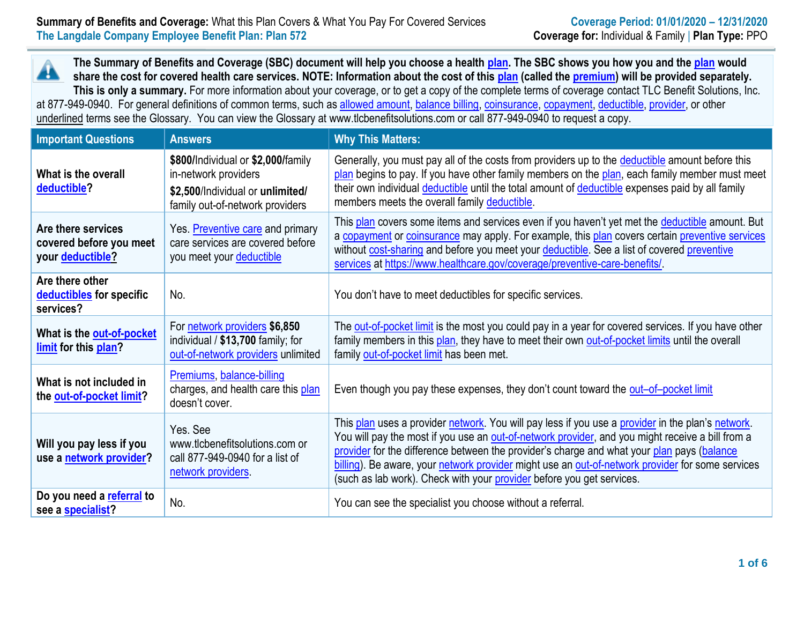**The Summary of Benefits and Coverage (SBC) document will help you choose a health [plan.](https://www.healthcare.gov/sbc-glossary/#plan) The SBC shows you how you and th[e plan](https://www.healthcare.gov/sbc-glossary/#plan) would** Â **share the cost for covered health care services. NOTE: Information about the cost of this [plan](https://www.healthcare.gov/sbc-glossary/#plan) (called the [premium\)](https://www.healthcare.gov/sbc-glossary/#premium) will be provided separately. This is only a summary.** For more information about your coverage, or to get a copy of the complete terms of coverage contact TLC Benefit Solutions, Inc. at 877-949-0940. For general definitions of common terms, such a[s allowed amount,](https://www.healthcare.gov/sbc-glossary/#allowed-amount) [balance billing,](https://www.healthcare.gov/sbc-glossary/#balance-billing) [coinsurance,](https://www.healthcare.gov/sbc-glossary/#coinsurance) [copayment,](https://www.healthcare.gov/sbc-glossary/#copayment) [deductible,](https://www.healthcare.gov/sbc-glossary/#deductible) [provider,](https://www.healthcare.gov/sbc-glossary/#provider) or other underlined terms see the Glossary. You can view the Glossary at www.tlcbenefitsolutions.com or call 877-949-0940 to request a copy.

| <b>Important Questions</b>                                               | <b>Answers</b>                                                                                                                    | <b>Why This Matters:</b>                                                                                                                                                                                                                                                                                                                                                                                                                                                         |
|--------------------------------------------------------------------------|-----------------------------------------------------------------------------------------------------------------------------------|----------------------------------------------------------------------------------------------------------------------------------------------------------------------------------------------------------------------------------------------------------------------------------------------------------------------------------------------------------------------------------------------------------------------------------------------------------------------------------|
| What is the overall<br>deductible?                                       | \$800/Individual or \$2,000/family<br>in-network providers<br>\$2,500/Individual or unlimited/<br>family out-of-network providers | Generally, you must pay all of the costs from providers up to the deductible amount before this<br>plan begins to pay. If you have other family members on the plan, each family member must meet<br>their own individual deductible until the total amount of deductible expenses paid by all family<br>members meets the overall family deductible.                                                                                                                            |
| Are there services<br>covered before you meet<br>your <b>deductible?</b> | Yes. Preventive care and primary<br>care services are covered before<br>you meet your deductible                                  | This plan covers some items and services even if you haven't yet met the deductible amount. But<br>a copayment or coinsurance may apply. For example, this plan covers certain preventive services<br>without cost-sharing and before you meet your deductible. See a list of covered preventive<br>services at https://www.healthcare.gov/coverage/preventive-care-benefits/                                                                                                    |
| Are there other<br>deductibles for specific<br>services?                 | No.                                                                                                                               | You don't have to meet deductibles for specific services.                                                                                                                                                                                                                                                                                                                                                                                                                        |
| What is the out-of-pocket<br>limit for this plan?                        | For network providers \$6,850<br>individual / \$13,700 family; for<br>out-of-network providers unlimited                          | The out-of-pocket limit is the most you could pay in a year for covered services. If you have other<br>family members in this plan, they have to meet their own out-of-pocket limits until the overall<br>family out-of-pocket limit has been met.                                                                                                                                                                                                                               |
| What is not included in<br>the out-of-pocket limit?                      | Premiums, balance-billing<br>charges, and health care this plan<br>doesn't cover.                                                 | Even though you pay these expenses, they don't count toward the out-of-pocket limit                                                                                                                                                                                                                                                                                                                                                                                              |
| Will you pay less if you<br>use a network provider?                      | Yes. See<br>www.tlcbenefitsolutions.com or<br>call 877-949-0940 for a list of<br>network providers                                | This plan uses a provider network. You will pay less if you use a provider in the plan's network.<br>You will pay the most if you use an out-of-network provider, and you might receive a bill from a<br>provider for the difference between the provider's charge and what your plan pays (balance<br>billing). Be aware, your network provider might use an out-of-network provider for some services<br>(such as lab work). Check with your provider before you get services. |
| Do you need a referral to<br>see a specialist?                           | No.                                                                                                                               | You can see the specialist you choose without a referral.                                                                                                                                                                                                                                                                                                                                                                                                                        |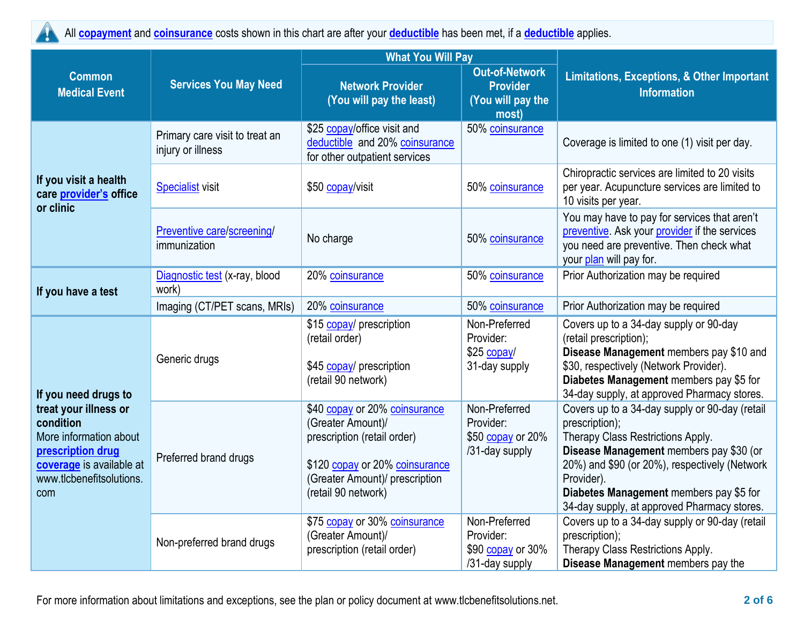

All **[copayment](https://www.healthcare.gov/sbc-glossary/#copayment)** and **[coinsurance](https://www.healthcare.gov/sbc-glossary/#coinsurance)** costs shown in this chart are after your **[deductible](https://www.healthcare.gov/sbc-glossary/#deductible)** has been met, if a **[deductible](https://www.healthcare.gov/sbc-glossary/#deductible)** applies.

|                                                                                                                                                  |                                                     | <b>What You Will Pay</b>                                                                                                                                                     |                                                                        |                                                                                                                                                                                                                                                                                                           |  |
|--------------------------------------------------------------------------------------------------------------------------------------------------|-----------------------------------------------------|------------------------------------------------------------------------------------------------------------------------------------------------------------------------------|------------------------------------------------------------------------|-----------------------------------------------------------------------------------------------------------------------------------------------------------------------------------------------------------------------------------------------------------------------------------------------------------|--|
| <b>Common</b><br><b>Medical Event</b>                                                                                                            | <b>Services You May Need</b>                        | <b>Network Provider</b><br>(You will pay the least)                                                                                                                          | <b>Out-of-Network</b><br><b>Provider</b><br>(You will pay the<br>most) | <b>Limitations, Exceptions, &amp; Other Important</b><br><b>Information</b>                                                                                                                                                                                                                               |  |
|                                                                                                                                                  | Primary care visit to treat an<br>injury or illness | \$25 copay/office visit and<br>deductible and 20% coinsurance<br>for other outpatient services                                                                               | 50% coinsurance                                                        | Coverage is limited to one (1) visit per day.                                                                                                                                                                                                                                                             |  |
| If you visit a health<br>care provider's office<br>or clinic                                                                                     | <b>Specialist visit</b>                             | \$50 copay/visit                                                                                                                                                             | 50% coinsurance                                                        | Chiropractic services are limited to 20 visits<br>per year. Acupuncture services are limited to<br>10 visits per year.                                                                                                                                                                                    |  |
|                                                                                                                                                  | Preventive care/screening/<br>immunization          | No charge                                                                                                                                                                    | 50% coinsurance                                                        | You may have to pay for services that aren't<br>preventive. Ask your provider if the services<br>you need are preventive. Then check what<br>your plan will pay for.                                                                                                                                      |  |
| If you have a test                                                                                                                               | Diagnostic test (x-ray, blood<br>work)              | 20% coinsurance                                                                                                                                                              | 50% coinsurance                                                        | Prior Authorization may be required                                                                                                                                                                                                                                                                       |  |
|                                                                                                                                                  | Imaging (CT/PET scans, MRIs)                        | 20% coinsurance                                                                                                                                                              | 50% coinsurance                                                        | Prior Authorization may be required                                                                                                                                                                                                                                                                       |  |
| If you need drugs to                                                                                                                             | Generic drugs                                       | \$15 copay/ prescription<br>(retail order)<br>\$45 copay/ prescription<br>(retail 90 network)                                                                                | Non-Preferred<br>Provider:<br>\$25 copay/<br>31-day supply             | Covers up to a 34-day supply or 90-day<br>(retail prescription);<br>Disease Management members pay \$10 and<br>\$30, respectively (Network Provider).<br>Diabetes Management members pay \$5 for<br>34-day supply, at approved Pharmacy stores.                                                           |  |
| treat your illness or<br>condition<br>More information about<br>prescription drug<br>coverage is available at<br>www.tlcbenefitsolutions.<br>com | Preferred brand drugs                               | \$40 copay or 20% coinsurance<br>(Greater Amount)/<br>prescription (retail order)<br>\$120 copay or 20% coinsurance<br>(Greater Amount)/ prescription<br>(retail 90 network) | Non-Preferred<br>Provider:<br>\$50 copay or 20%<br>/31-day supply      | Covers up to a 34-day supply or 90-day (retail<br>prescription);<br>Therapy Class Restrictions Apply.<br>Disease Management members pay \$30 (or<br>20%) and \$90 (or 20%), respectively (Network<br>Provider).<br>Diabetes Management members pay \$5 for<br>34-day supply, at approved Pharmacy stores. |  |
|                                                                                                                                                  | Non-preferred brand drugs                           | \$75 copay or 30% coinsurance<br>(Greater Amount)/<br>prescription (retail order)                                                                                            | Non-Preferred<br>Provider:<br>\$90 copay or 30%<br>/31-day supply      | Covers up to a 34-day supply or 90-day (retail<br>prescription);<br>Therapy Class Restrictions Apply.<br>Disease Management members pay the                                                                                                                                                               |  |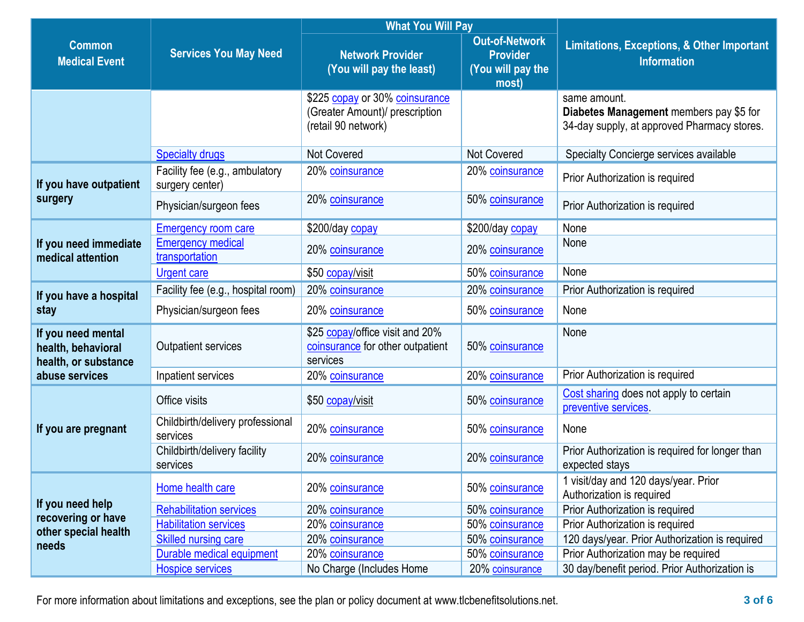|                                                                  | <b>Services You May Need</b>                      | <b>What You Will Pay</b>                                                                |                                                                        |                                                                                                        |  |
|------------------------------------------------------------------|---------------------------------------------------|-----------------------------------------------------------------------------------------|------------------------------------------------------------------------|--------------------------------------------------------------------------------------------------------|--|
| <b>Common</b><br><b>Medical Event</b>                            |                                                   | <b>Network Provider</b><br>(You will pay the least)                                     | <b>Out-of-Network</b><br><b>Provider</b><br>(You will pay the<br>most) | <b>Limitations, Exceptions, &amp; Other Important</b><br><b>Information</b>                            |  |
|                                                                  |                                                   | \$225 copay or 30% coinsurance<br>(Greater Amount)/ prescription<br>(retail 90 network) |                                                                        | same amount.<br>Diabetes Management members pay \$5 for<br>34-day supply, at approved Pharmacy stores. |  |
|                                                                  | <b>Specialty drugs</b>                            | <b>Not Covered</b>                                                                      | <b>Not Covered</b>                                                     | Specialty Concierge services available                                                                 |  |
| If you have outpatient                                           | Facility fee (e.g., ambulatory<br>surgery center) | 20% coinsurance                                                                         | 20% coinsurance                                                        | Prior Authorization is required                                                                        |  |
| surgery                                                          | Physician/surgeon fees                            | 20% coinsurance                                                                         | 50% coinsurance                                                        | Prior Authorization is required                                                                        |  |
|                                                                  | <b>Emergency room care</b>                        | \$200/day copay                                                                         | \$200/day copay                                                        | None                                                                                                   |  |
| If you need immediate<br>medical attention                       | <b>Emergency medical</b><br>transportation        | 20% coinsurance                                                                         | 20% coinsurance                                                        | None                                                                                                   |  |
|                                                                  | <b>Urgent care</b>                                | \$50 copay/visit                                                                        | 50% coinsurance                                                        | None                                                                                                   |  |
| If you have a hospital                                           | Facility fee (e.g., hospital room)                | 20% coinsurance                                                                         | 20% coinsurance                                                        | Prior Authorization is required                                                                        |  |
| stay                                                             | Physician/surgeon fees                            | 20% coinsurance                                                                         | 50% coinsurance                                                        | None                                                                                                   |  |
| If you need mental<br>health, behavioral<br>health, or substance | <b>Outpatient services</b>                        | \$25 copay/office visit and 20%<br>coinsurance for other outpatient<br>services         | 50% coinsurance                                                        | None                                                                                                   |  |
| abuse services                                                   | Inpatient services                                | 20% coinsurance                                                                         | 20% coinsurance                                                        | Prior Authorization is required                                                                        |  |
|                                                                  | Office visits                                     | \$50 copay/visit                                                                        | 50% coinsurance                                                        | Cost sharing does not apply to certain<br>preventive services.                                         |  |
| If you are pregnant                                              | Childbirth/delivery professional<br>services      | 20% coinsurance                                                                         | 50% coinsurance                                                        | None                                                                                                   |  |
|                                                                  | Childbirth/delivery facility<br>services          | 20% coinsurance                                                                         | 20% coinsurance                                                        | Prior Authorization is required for longer than<br>expected stays                                      |  |
|                                                                  | Home health care                                  | 20% coinsurance                                                                         | 50% coinsurance                                                        | 1 visit/day and 120 days/year. Prior<br>Authorization is required                                      |  |
| If you need help                                                 | <b>Rehabilitation services</b>                    | 20% coinsurance                                                                         | 50% coinsurance                                                        | Prior Authorization is required                                                                        |  |
| recovering or have<br>other special health                       | <b>Habilitation services</b>                      | 20% coinsurance                                                                         | 50% coinsurance                                                        | Prior Authorization is required                                                                        |  |
| needs                                                            | <b>Skilled nursing care</b>                       | 20% coinsurance                                                                         | 50% coinsurance                                                        | 120 days/year. Prior Authorization is required                                                         |  |
|                                                                  | Durable medical equipment                         | 20% coinsurance                                                                         | 50% coinsurance                                                        | Prior Authorization may be required                                                                    |  |
|                                                                  | <b>Hospice services</b>                           | No Charge (Includes Home                                                                | 20% coinsurance                                                        | 30 day/benefit period. Prior Authorization is                                                          |  |

For more information about limitations and exceptions, see the plan or policy document at www.tlcbenefitsolutions.net. **3 of 6**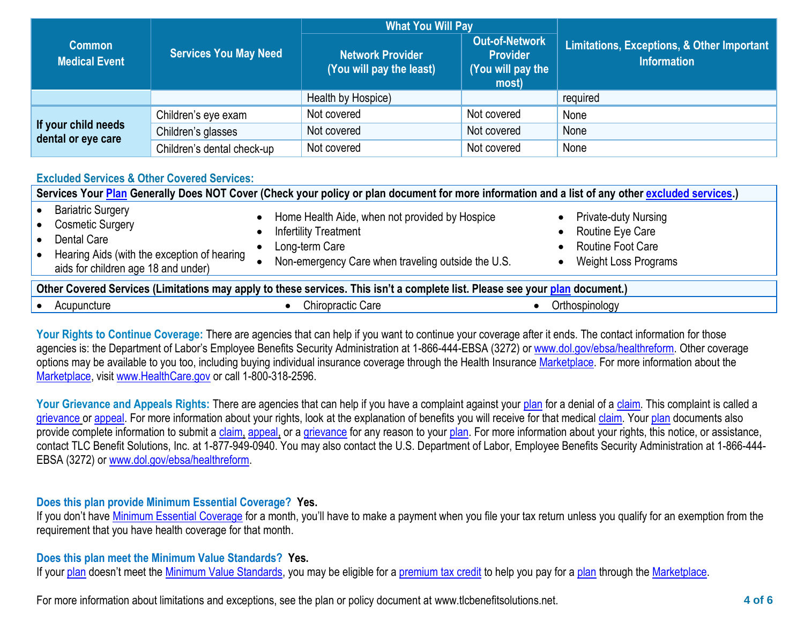|                                           | <b>Services You May Need</b> | <b>What You Will Pay</b>                            |                                                                        |                                                                  |
|-------------------------------------------|------------------------------|-----------------------------------------------------|------------------------------------------------------------------------|------------------------------------------------------------------|
| <b>Common</b><br><b>Medical Event</b>     |                              | <b>Network Provider</b><br>(You will pay the least) | <b>Out-of-Network</b><br><b>Provider</b><br>(You will pay the<br>most) | Limitations, Exceptions, & Other Important<br><b>Information</b> |
|                                           |                              | Health by Hospice)                                  |                                                                        | required                                                         |
|                                           | Children's eye exam          | Not covered                                         | Not covered                                                            | None                                                             |
| If your child needs<br>dental or eye care | Children's glasses           | Not covered                                         | Not covered                                                            | None                                                             |
|                                           | Children's dental check-up   | Not covered                                         | Not covered                                                            | None                                                             |

## **Excluded Services & Other Covered Services:**

| Services Your Plan Generally Does NOT Cover (Check your policy or plan document for more information and a list of any other excluded services.)         |                                                                                                                                                        |                                                                                                     |  |  |
|----------------------------------------------------------------------------------------------------------------------------------------------------------|--------------------------------------------------------------------------------------------------------------------------------------------------------|-----------------------------------------------------------------------------------------------------|--|--|
| <b>Bariatric Surgery</b><br><b>Cosmetic Surgery</b><br>Dental Care<br>Hearing Aids (with the exception of hearing<br>aids for children age 18 and under) | Home Health Aide, when not provided by Hospice<br><b>Infertility Treatment</b><br>Long-term Care<br>Non-emergency Care when traveling outside the U.S. | <b>Private-duty Nursing</b><br>Routine Eye Care<br>Routine Foot Care<br><b>Weight Loss Programs</b> |  |  |
| Other Covered Services (Limitations may apply to these services. This isn't a complete list. Please see your plan document.)                             |                                                                                                                                                        |                                                                                                     |  |  |
| Acupuncture                                                                                                                                              | Chiropractic Care                                                                                                                                      | Orthospinology                                                                                      |  |  |

Your Rights to Continue Coverage: There are agencies that can help if you want to continue your coverage after it ends. The contact information for those agencies is: the Department of Labor's Employee Benefits Security Administration at 1-866-444-EBSA (3272) or [www.dol.gov/ebsa/healthreform.](http://www.dol.gov/ebsa/healthreform) Other coverage options may be available to you too, including buying individual insurance coverage through the Health Insurance [Marketplace.](https://www.healthcare.gov/sbc-glossary/#marketplace) For more information about the [Marketplace,](https://www.healthcare.gov/sbc-glossary/#marketplace) visit [www.HealthCare.gov](http://www.healthcare.gov/) or call 1-800-318-2596.

Your Grievance and Appeals Rights: There are agencies that can help if you have a complaint against your [plan](https://www.healthcare.gov/sbc-glossary/#plan) for a denial of a [claim.](https://www.healthcare.gov/sbc-glossary/#claim) This complaint is called a [grievance](https://www.healthcare.gov/sbc-glossary/#grievance) or [appeal.](https://www.healthcare.gov/sbc-glossary/#appeal) For more information about your rights, look at the explanation of benefits you will receive for that medica[l claim.](https://www.healthcare.gov/sbc-glossary/#claim) Your [plan](https://www.healthcare.gov/sbc-glossary/#plan) documents also provide complete information to submit a [claim,](https://www.healthcare.gov/sbc-glossary/#claim) [appeal,](https://www.healthcare.gov/sbc-glossary/#appeal) or a [grievance](https://www.healthcare.gov/sbc-glossary/#grievance) for any reason to your [plan.](https://www.healthcare.gov/sbc-glossary/#plan) For more information about your rights, this notice, or assistance, contact TLC Benefit Solutions, Inc. at 1-877-949-0940. You may also contact the U.S. Department of Labor, Employee Benefits Security Administration at 1-866-444- EBSA (3272) or [www.dol.gov/ebsa/healthreform.](http://www.dol.gov/ebsa/healthreform)

## **Does this plan provide Minimum Essential Coverage? Yes.**

If you don't have [Minimum Essential Coverage](https://www.healthcare.gov/sbc-glossary/#minimum-essential-coverage) for a month, you'll have to make a payment when you file your tax return unless you qualify for an exemption from the requirement that you have health coverage for that month.

## **Does this plan meet the Minimum Value Standards? Yes.**

If your [plan](https://www.healthcare.gov/sbc-glossary/#plan) doesn't meet the [Minimum Value Standards,](https://www.healthcare.gov/sbc-glossary/#minimum-value-standard) you may be eligible for a [premium tax credit](https://www.healthcare.gov/sbc-glossary/#premium-tax-credits) to help you pay for a plan through the [Marketplace.](https://www.healthcare.gov/sbc-glossary/#marketplace)

For more information about limitations and exceptions, see the plan or policy document at www.tlcbenefitsolutions.net. **4 of 6**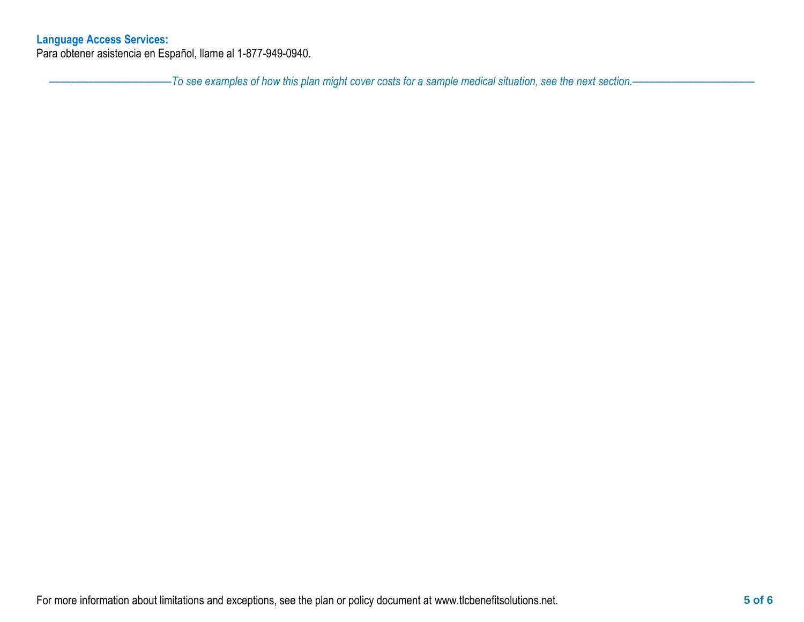## **Language Access Services:**

Para obtener asistencia en Español, llame al 1-877-949-0940.

––––––––––––––––––––––*To see examples of how this plan might cover costs for a sample medical situation, see the next section.–––––––––––*–––––––––––